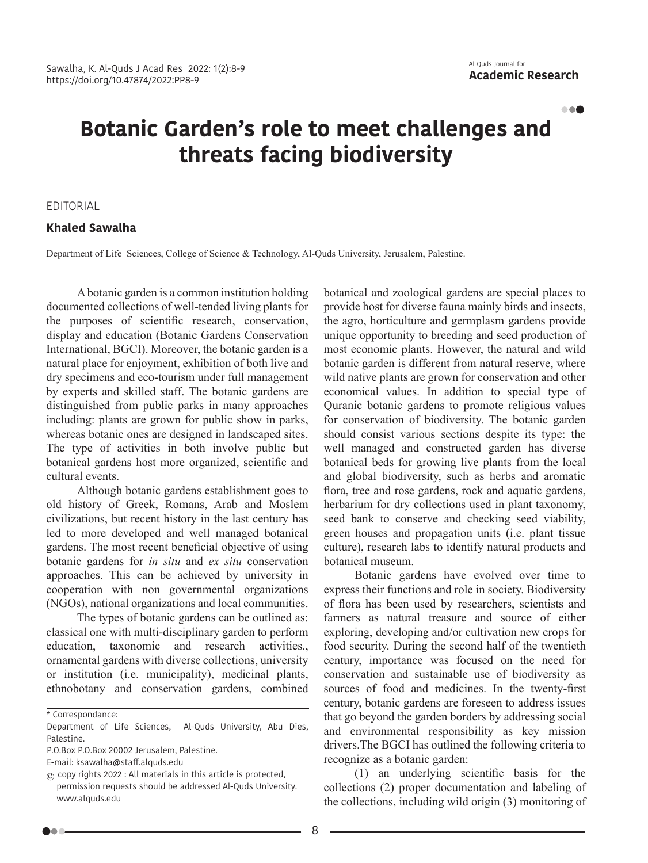-000

## **Botanic Garden's role to meet challenges and threats facing biodiversity**

EDITORIAL

## **Khaled Sawalha**

Department of Life Sciences, College of Science & Technology, Al-Quds University, Jerusalem, Palestine.

A botanic garden is a common institution holding documented collections of well-tended living plants for the purposes of scientific research, conservation, display and education (Botanic Gardens Conservation International, BGCI). Moreover, the botanic garden is a natural place for enjoyment, exhibition of both live and dry specimens and eco-tourism under full management by experts and skilled staff. The botanic gardens are distinguished from public parks in many approaches including: plants are grown for public show in parks, whereas botanic ones are designed in landscaped sites. The type of activities in both involve public but botanical gardens host more organized, scientific and cultural events.

Although botanic gardens establishment goes to old history of Greek, Romans, Arab and Moslem civilizations, but recent history in the last century has led to more developed and well managed botanical gardens. The most recent beneficial objective of using botanic gardens for *in situ* and *ex situ* conservation approaches. This can be achieved by university in cooperation with non governmental organizations (NGOs), national organizations and local communities.

The types of botanic gardens can be outlined as: classical one with multi-disciplinary garden to perform education, taxonomic and research activities., ornamental gardens with diverse collections, university or institution (i.e. municipality), medicinal plants, ethnobotany and conservation gardens, combined botanical and zoological gardens are special places to provide host for diverse fauna mainly birds and insects, the agro, horticulture and germplasm gardens provide unique opportunity to breeding and seed production of most economic plants. However, the natural and wild botanic garden is different from natural reserve, where wild native plants are grown for conservation and other economical values. In addition to special type of Quranic botanic gardens to promote religious values for conservation of biodiversity. The botanic garden should consist various sections despite its type: the well managed and constructed garden has diverse botanical beds for growing live plants from the local and global biodiversity, such as herbs and aromatic flora, tree and rose gardens, rock and aquatic gardens, herbarium for dry collections used in plant taxonomy, seed bank to conserve and checking seed viability, green houses and propagation units (i.e. plant tissue culture), research labs to identify natural products and botanical museum.

Botanic gardens have evolved over time to express their functions and role in society. Biodiversity of flora has been used by researchers, scientists and farmers as natural treasure and source of either exploring, developing and/or cultivation new crops for food security. During the second half of the twentieth century, importance was focused on the need for conservation and sustainable use of biodiversity as sources of food and medicines. In the twenty-first century, botanic gardens are foreseen to address issues that go beyond the garden borders by addressing social and environmental responsibility as key mission drivers.The BGCI has outlined the following criteria to recognize as a botanic garden:

(1) an underlying scientific basis for the collections (2) proper documentation and labeling of the collections, including wild origin (3) monitoring of

<sup>\*</sup> Correspondance:

Department of Life Sciences, Al-Quds University, Abu Dies, Palestine.

P.O.Box P.O.Box 20002 Jerusalem, Palestine.

E-mail: ksawalha@staff.alquds.edu

 $\circled{c}$  copy rights 2022 : All materials in this article is protected. permission requests should be addressed Al-Quds University. www.alquds.edu